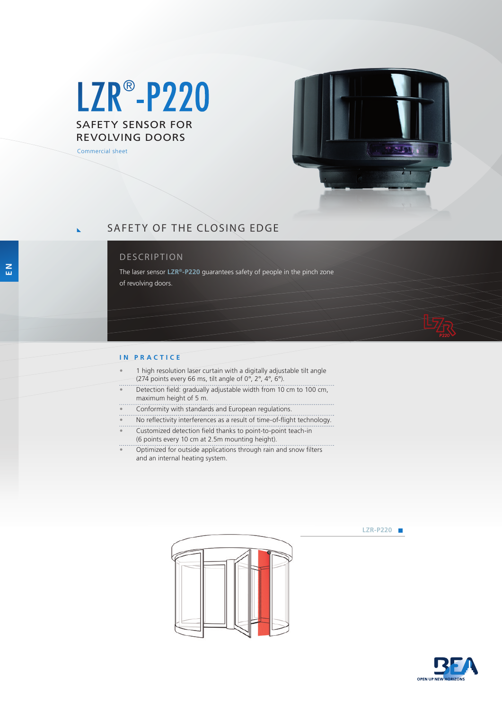# SAFETY SENSOR FOR REVOLVING DOORS LZR® -P220

Commercial sheet



**LZR-P220** 

## SAFETY OF THE CLOSING EDGE

### DESCRIPTION

The laser sensor **LZR®-P220** guarantees safety of people in the pinch zone of revolving doors.

#### **IN PRACTICE**

- 1 high resolution laser curtain with a digitally adjustable tilt angle (274 points every 66 ms, tilt angle of  $0^{\circ}$ ,  $2^{\circ}$ ,  $4^{\circ}$ ,  $6^{\circ}$ ). • Detection field: gradually adjustable width from 10 cm to 100 cm, maximum height of 5 m.
	- Conformity with standards and European regulations.
- No reflectivity interferences as a result of time-of-flight technology.
- Customized detection field thanks to point-to-point teach-in (6 points every 10 cm at 2.5m mounting height).
- Optimized for outside applications through rain and snow filters and an internal heating system.